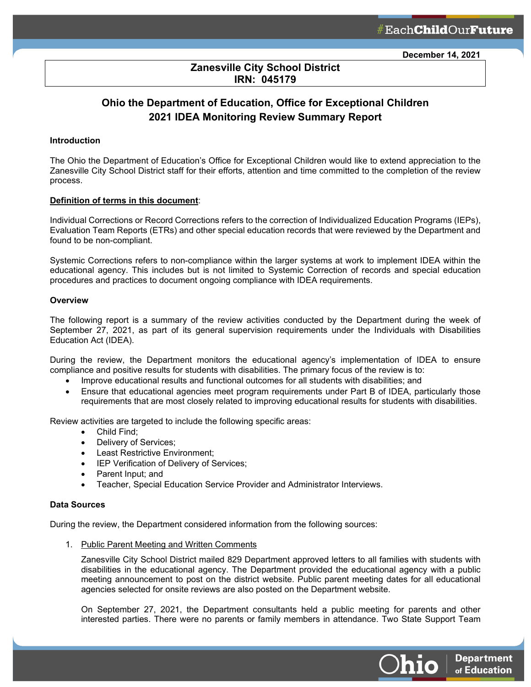**Department** 

of Education

Jhio

## **Zanesville City School District IRN: 045179**

ł

# **Ohio the Department of Education, Office for Exceptional Children 2021 IDEA Monitoring Review Summary Report**

#### **Introduction**

The Ohio the Department of Education's Office for Exceptional Children would like to extend appreciation to the Zanesville City School District staff for their efforts, attention and time committed to the completion of the review process.

#### **Definition of terms in this document**:

Individual Corrections or Record Corrections refers to the correction of Individualized Education Programs (IEPs), Evaluation Team Reports (ETRs) and other special education records that were reviewed by the Department and found to be non-compliant.

Systemic Corrections refers to non-compliance within the larger systems at work to implement IDEA within the educational agency. This includes but is not limited to Systemic Correction of records and special education procedures and practices to document ongoing compliance with IDEA requirements.

#### **Overview**

The following report is a summary of the review activities conducted by the Department during the week of September 27, 2021, as part of its general supervision requirements under the Individuals with Disabilities Education Act (IDEA).

During the review, the Department monitors the educational agency's implementation of IDEA to ensure compliance and positive results for students with disabilities. The primary focus of the review is to:

- Improve educational results and functional outcomes for all students with disabilities; and
- Ensure that educational agencies meet program requirements under Part B of IDEA, particularly those requirements that are most closely related to improving educational results for students with disabilities.

Review activities are targeted to include the following specific areas:

- Child Find;
- Delivery of Services;
- Least Restrictive Environment;
- IEP Verification of Delivery of Services;
- Parent Input; and
- Teacher, Special Education Service Provider and Administrator Interviews.

#### **Data Sources**

During the review, the Department considered information from the following sources:

1. Public Parent Meeting and Written Comments

Zanesville City School District mailed 829 Department approved letters to all families with students with disabilities in the educational agency. The Department provided the educational agency with a public meeting announcement to post on the district website. Public parent meeting dates for all educational agencies selected for onsite reviews are also posted on the Department website.

On September 27, 2021, the Department consultants held a public meeting for parents and other interested parties. There were no parents or family members in attendance. Two State Support Team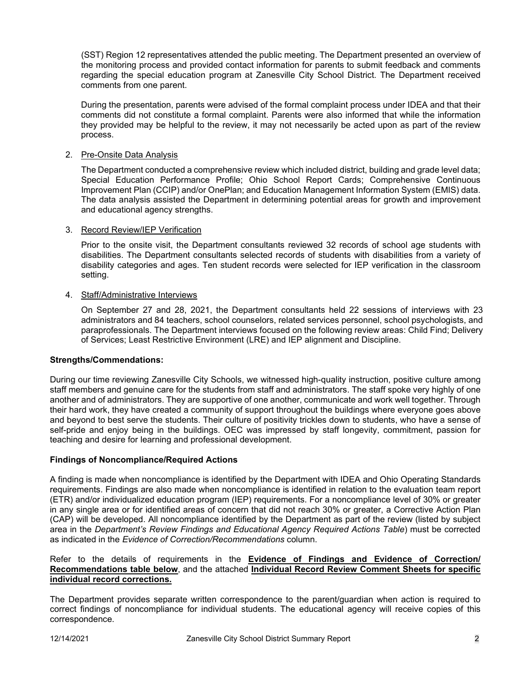(SST) Region 12 representatives attended the public meeting. The Department presented an overview of the monitoring process and provided contact information for parents to submit feedback and comments regarding the special education program at Zanesville City School District. The Department received comments from one parent.

During the presentation, parents were advised of the formal complaint process under IDEA and that their comments did not constitute a formal complaint. Parents were also informed that while the information they provided may be helpful to the review, it may not necessarily be acted upon as part of the review process.

## 2. Pre-Onsite Data Analysis

The Department conducted a comprehensive review which included district, building and grade level data; Special Education Performance Profile; Ohio School Report Cards; Comprehensive Continuous Improvement Plan (CCIP) and/or OnePlan; and Education Management Information System (EMIS) data. The data analysis assisted the Department in determining potential areas for growth and improvement and educational agency strengths.

## 3. Record Review/IEP Verification

Prior to the onsite visit, the Department consultants reviewed 32 records of school age students with disabilities. The Department consultants selected records of students with disabilities from a variety of disability categories and ages. Ten student records were selected for IEP verification in the classroom setting.

## 4. Staff/Administrative Interviews

On September 27 and 28, 2021, the Department consultants held 22 sessions of interviews with 23 administrators and 84 teachers, school counselors, related services personnel, school psychologists, and paraprofessionals. The Department interviews focused on the following review areas: Child Find; Delivery of Services; Least Restrictive Environment (LRE) and IEP alignment and Discipline.

## **Strengths/Commendations:**

During our time reviewing Zanesville City Schools, we witnessed high-quality instruction, positive culture among staff members and genuine care for the students from staff and administrators. The staff spoke very highly of one another and of administrators. They are supportive of one another, communicate and work well together. Through their hard work, they have created a community of support throughout the buildings where everyone goes above and beyond to best serve the students. Their culture of positivity trickles down to students, who have a sense of self-pride and enjoy being in the buildings. OEC was impressed by staff longevity, commitment, passion for teaching and desire for learning and professional development.

## **Findings of Noncompliance/Required Actions**

A finding is made when noncompliance is identified by the Department with IDEA and Ohio Operating Standards requirements. Findings are also made when noncompliance is identified in relation to the evaluation team report (ETR) and/or individualized education program (IEP) requirements. For a noncompliance level of 30% or greater in any single area or for identified areas of concern that did not reach 30% or greater, a Corrective Action Plan (CAP) will be developed. All noncompliance identified by the Department as part of the review (listed by subject area in the *Department's Review Findings and Educational Agency Required Actions Table*) must be corrected as indicated in the *Evidence of Correction/Recommendations* column.

## Refer to the details of requirements in the **Evidence of Findings and Evidence of Correction/ Recommendations table below**, and the attached **Individual Record Review Comment Sheets for specific individual record corrections.**

The Department provides separate written correspondence to the parent/guardian when action is required to correct findings of noncompliance for individual students. The educational agency will receive copies of this correspondence.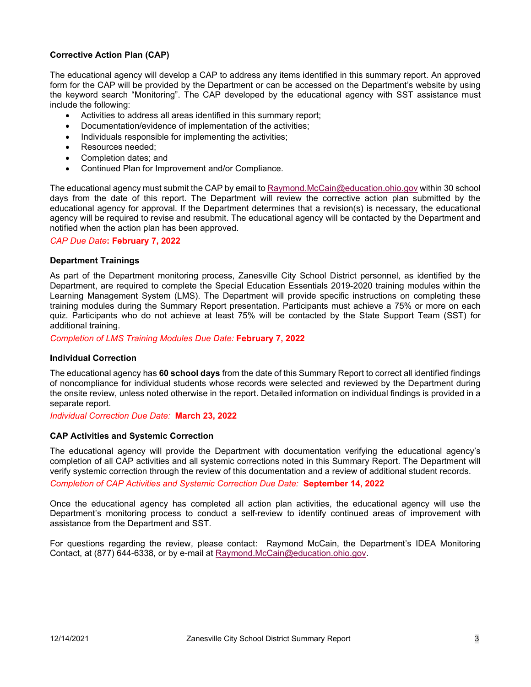## **Corrective Action Plan (CAP)**

The educational agency will develop a CAP to address any items identified in this summary report. An approved form for the CAP will be provided by the Department or can be accessed on the Department's website by using the keyword search "Monitoring". The CAP developed by the educational agency with SST assistance must include the following:

- Activities to address all areas identified in this summary report;
- Documentation/evidence of implementation of the activities;
- Individuals responsible for implementing the activities;
- Resources needed;
- Completion dates; and
- Continued Plan for Improvement and/or Compliance.

The educational agency must submit the CAP by email t[o Raymond.McCain@education.ohio.gov](mailto:Raymond.McCain@education.ohio.gov) within 30 school days from the date of this report. The Department will review the corrective action plan submitted by the educational agency for approval. If the Department determines that a revision(s) is necessary, the educational agency will be required to revise and resubmit. The educational agency will be contacted by the Department and notified when the action plan has been approved.

## *CAP Due Date***: February 7, 2022**

## **Department Trainings**

As part of the Department monitoring process, Zanesville City School District personnel, as identified by the Department, are required to complete the Special Education Essentials 2019-2020 training modules within the Learning Management System (LMS). The Department will provide specific instructions on completing these training modules during the Summary Report presentation. Participants must achieve a 75% or more on each quiz. Participants who do not achieve at least 75% will be contacted by the State Support Team (SST) for additional training.

*Completion of LMS Training Modules Due Date:* **February 7, 2022**

#### **Individual Correction**

The educational agency has **60 school days** from the date of this Summary Report to correct all identified findings of noncompliance for individual students whose records were selected and reviewed by the Department during the onsite review, unless noted otherwise in the report. Detailed information on individual findings is provided in a separate report.

*Individual Correction Due Date:* **March 23, 2022**

## **CAP Activities and Systemic Correction**

The educational agency will provide the Department with documentation verifying the educational agency's completion of all CAP activities and all systemic corrections noted in this Summary Report. The Department will verify systemic correction through the review of this documentation and a review of additional student records.

*Completion of CAP Activities and Systemic Correction Due Date:* **September 14, 2022**

Once the educational agency has completed all action plan activities, the educational agency will use the Department's monitoring process to conduct a self-review to identify continued areas of improvement with assistance from the Department and SST.

For questions regarding the review, please contact: Raymond McCain, the Department's IDEA Monitoring Contact, at (877) 644-6338, or by e-mail at [Raymond.McCain@education.ohio.gov.](mailto:Raymond.McCain@education.ohio.gov)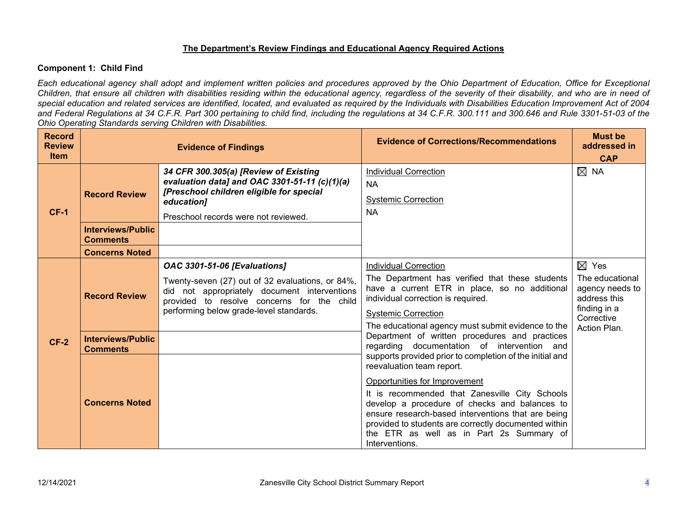## **The Department's Review Findings and Educational Agency Required Actions**

## **Component 1: Child Find**

*Each educational agency shall adopt and implement written policies and procedures approved by the Ohio Department of Education, Office for Exceptional Children, that ensure all children with disabilities residing within the educational agency, regardless of the severity of their disability, and who are in need of special education and related services are identified, located, and evaluated as required by the Individuals with Disabilities Education Improvement Act of 2004*  and Federal Regulations at 34 C.F.R. Part 300 pertaining to child find, including the regulations at 34 C.F.R. 300.111 and 300.646 and Rule 3301-51-03 of the *Ohio Operating Standards serving Children with Disabilities.* 

| <b>Record</b><br><b>Review</b><br><b>Item</b> |                                                  | <b>Evidence of Findings</b>                                                                                                                                                                                                      | <b>Evidence of Corrections/Recommendations</b>                                                                                                                                                                                                                                                               | <b>Must be</b><br>addressed in<br><b>CAP</b>                                                                        |
|-----------------------------------------------|--------------------------------------------------|----------------------------------------------------------------------------------------------------------------------------------------------------------------------------------------------------------------------------------|--------------------------------------------------------------------------------------------------------------------------------------------------------------------------------------------------------------------------------------------------------------------------------------------------------------|---------------------------------------------------------------------------------------------------------------------|
| <b>CF-1</b>                                   | <b>Record Review</b><br><b>Interviews/Public</b> | 34 CFR 300.305(a) [Review of Existing<br>evaluation data] and OAC 3301-51-11 (c)(1)(a)<br>[Preschool children eligible for special<br>education]<br>Preschool records were not reviewed.                                         | <b>Individual Correction</b><br><b>NA</b><br><b>Systemic Correction</b><br><b>NA</b>                                                                                                                                                                                                                         | $\boxtimes$ NA                                                                                                      |
|                                               | <b>Comments</b><br><b>Concerns Noted</b>         |                                                                                                                                                                                                                                  |                                                                                                                                                                                                                                                                                                              |                                                                                                                     |
| $CF-2$                                        | <b>Record Review</b>                             | <b>OAC 3301-51-06 [Evaluations]</b><br>Twenty-seven (27) out of 32 evaluations, or 84%,<br>did not appropriately document interventions<br>provided to resolve concerns for the child<br>performing below grade-level standards. | <b>Individual Correction</b><br>The Department has verified that these students<br>have a current ETR in place, so no additional<br>individual correction is required.<br><b>Systemic Correction</b><br>The educational agency must submit evidence to the                                                   | $\boxtimes$ Yes<br>The educational<br>agency needs to<br>address this<br>finding in a<br>Corrective<br>Action Plan. |
|                                               | <b>Interviews/Public</b><br><b>Comments</b>      |                                                                                                                                                                                                                                  | Department of written procedures and practices<br>regarding documentation of intervention and<br>supports provided prior to completion of the initial and<br>reevaluation team report.                                                                                                                       |                                                                                                                     |
|                                               | <b>Concerns Noted</b>                            |                                                                                                                                                                                                                                  | Opportunities for Improvement<br>It is recommended that Zanesville City Schools<br>develop a procedure of checks and balances to<br>ensure research-based interventions that are being<br>provided to students are correctly documented within<br>the ETR as well as in Part 2s Summary of<br>Interventions. |                                                                                                                     |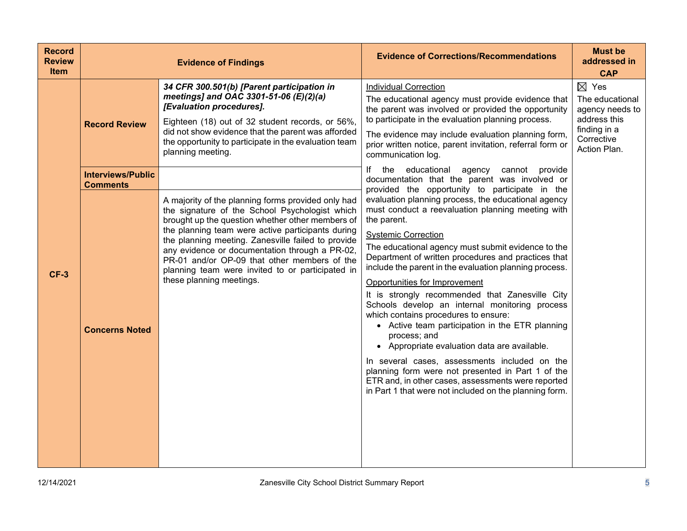| <b>Record</b><br><b>Review</b><br><b>Item</b> |                                             | <b>Evidence of Findings</b>                                                                                                                                                                                                                                                                                                                                                                     | <b>Evidence of Corrections/Recommendations</b>                                                                                                                                                                                                                                                                                                                                                                                                                                                                                                                                                                                                                                                                                                                                               | <b>Must be</b><br>addressed in<br><b>CAP</b>                                                                        |
|-----------------------------------------------|---------------------------------------------|-------------------------------------------------------------------------------------------------------------------------------------------------------------------------------------------------------------------------------------------------------------------------------------------------------------------------------------------------------------------------------------------------|----------------------------------------------------------------------------------------------------------------------------------------------------------------------------------------------------------------------------------------------------------------------------------------------------------------------------------------------------------------------------------------------------------------------------------------------------------------------------------------------------------------------------------------------------------------------------------------------------------------------------------------------------------------------------------------------------------------------------------------------------------------------------------------------|---------------------------------------------------------------------------------------------------------------------|
|                                               | <b>Record Review</b>                        | 34 CFR 300.501(b) [Parent participation in<br>meetings] and OAC 3301-51-06 (E)(2)(a)<br>[Evaluation procedures].<br>Eighteen (18) out of 32 student records, or 56%,<br>did not show evidence that the parent was afforded<br>the opportunity to participate in the evaluation team<br>planning meeting.                                                                                        | <b>Individual Correction</b><br>The educational agency must provide evidence that<br>the parent was involved or provided the opportunity<br>to participate in the evaluation planning process.<br>The evidence may include evaluation planning form,<br>prior written notice, parent invitation, referral form or<br>communication log.                                                                                                                                                                                                                                                                                                                                                                                                                                                      | $\boxtimes$ Yes<br>The educational<br>agency needs to<br>address this<br>finding in a<br>Corrective<br>Action Plan. |
|                                               | <b>Interviews/Public</b><br><b>Comments</b> | A majority of the planning forms provided only had                                                                                                                                                                                                                                                                                                                                              | If the<br>educational<br>agency<br>provide<br>cannot<br>documentation that the parent was involved or<br>provided the opportunity to participate in the<br>evaluation planning process, the educational agency                                                                                                                                                                                                                                                                                                                                                                                                                                                                                                                                                                               |                                                                                                                     |
| <b>CF-3</b>                                   | <b>Concerns Noted</b>                       | the signature of the School Psychologist which<br>brought up the question whether other members of<br>the planning team were active participants during<br>the planning meeting. Zanesville failed to provide<br>any evidence or documentation through a PR-02,<br>PR-01 and/or OP-09 that other members of the<br>planning team were invited to or participated in<br>these planning meetings. | must conduct a reevaluation planning meeting with<br>the parent.<br><b>Systemic Correction</b><br>The educational agency must submit evidence to the<br>Department of written procedures and practices that<br>include the parent in the evaluation planning process.<br>Opportunities for Improvement<br>It is strongly recommended that Zanesville City<br>Schools develop an internal monitoring process<br>which contains procedures to ensure:<br>• Active team participation in the ETR planning<br>process; and<br>• Appropriate evaluation data are available.<br>In several cases, assessments included on the<br>planning form were not presented in Part 1 of the<br>ETR and, in other cases, assessments were reported<br>in Part 1 that were not included on the planning form. |                                                                                                                     |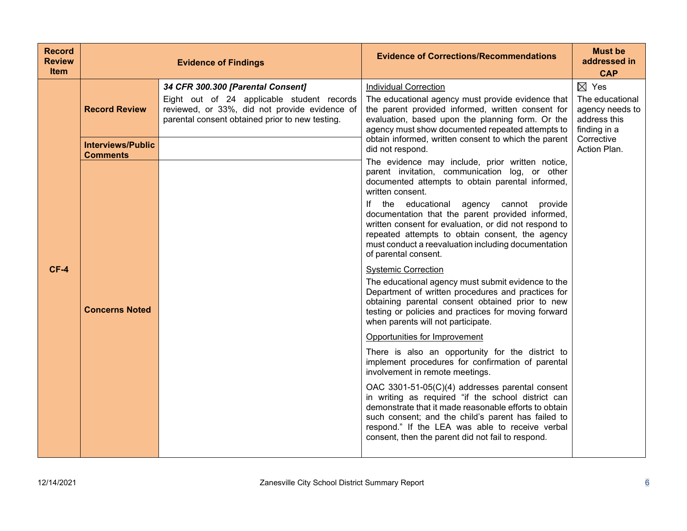| <b>Record</b><br><b>Review</b><br><b>Item</b> |                                             | <b>Evidence of Findings</b>                                                                                                                                                         | <b>Evidence of Corrections/Recommendations</b>                                                                                                                                                                                                                                                                                                                  | <b>Must be</b><br>addressed in<br><b>CAP</b>                                          |
|-----------------------------------------------|---------------------------------------------|-------------------------------------------------------------------------------------------------------------------------------------------------------------------------------------|-----------------------------------------------------------------------------------------------------------------------------------------------------------------------------------------------------------------------------------------------------------------------------------------------------------------------------------------------------------------|---------------------------------------------------------------------------------------|
| $CF-4$                                        | <b>Record Review</b>                        | 34 CFR 300.300 [Parental Consent]<br>Eight out of 24 applicable student records<br>reviewed, or 33%, did not provide evidence of<br>parental consent obtained prior to new testing. | <b>Individual Correction</b><br>The educational agency must provide evidence that<br>the parent provided informed, written consent for<br>evaluation, based upon the planning form. Or the<br>agency must show documented repeated attempts to                                                                                                                  | $\boxtimes$ Yes<br>The educational<br>agency needs to<br>address this<br>finding in a |
|                                               | <b>Interviews/Public</b><br><b>Comments</b> |                                                                                                                                                                                     | obtain informed, written consent to which the parent<br>did not respond.<br>The evidence may include, prior written notice,<br>parent invitation, communication log, or other                                                                                                                                                                                   | Corrective<br>Action Plan.                                                            |
|                                               |                                             |                                                                                                                                                                                     | documented attempts to obtain parental informed,<br>written consent.<br>If the educational agency cannot provide<br>documentation that the parent provided informed,<br>written consent for evaluation, or did not respond to<br>repeated attempts to obtain consent, the agency<br>must conduct a reevaluation including documentation<br>of parental consent. |                                                                                       |
|                                               | <b>Concerns Noted</b>                       |                                                                                                                                                                                     | <b>Systemic Correction</b><br>The educational agency must submit evidence to the<br>Department of written procedures and practices for<br>obtaining parental consent obtained prior to new<br>testing or policies and practices for moving forward<br>when parents will not participate.                                                                        |                                                                                       |
|                                               |                                             |                                                                                                                                                                                     | Opportunities for Improvement<br>There is also an opportunity for the district to<br>implement procedures for confirmation of parental                                                                                                                                                                                                                          |                                                                                       |
|                                               |                                             |                                                                                                                                                                                     | involvement in remote meetings.<br>OAC 3301-51-05(C)(4) addresses parental consent<br>in writing as required "if the school district can<br>demonstrate that it made reasonable efforts to obtain<br>such consent; and the child's parent has failed to<br>respond." If the LEA was able to receive verbal<br>consent, then the parent did not fail to respond. |                                                                                       |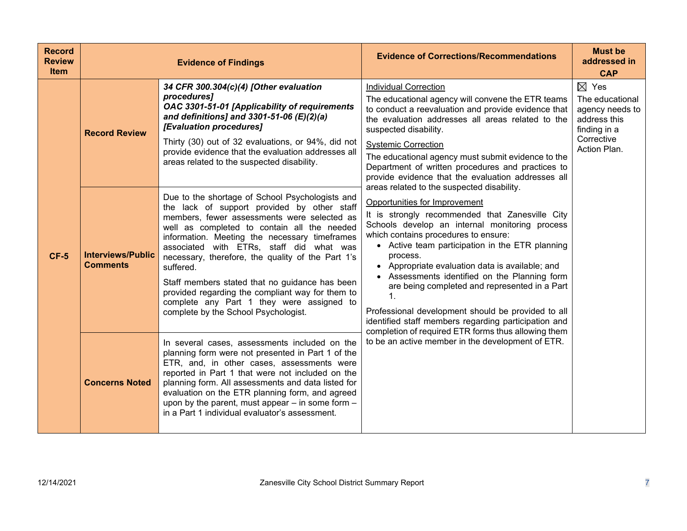| <b>Record</b><br><b>Review</b><br><b>Item</b> |                                             | <b>Evidence of Findings</b>                                                                                                                                                                                                                                                                                                                                                                                                                                                                                                                            | <b>Evidence of Corrections/Recommendations</b>                                                                                                                                                                                                                                                                                                                                                                                                                                                                                                                                                                          | <b>Must be</b><br>addressed in<br><b>CAP</b>                                                                        |
|-----------------------------------------------|---------------------------------------------|--------------------------------------------------------------------------------------------------------------------------------------------------------------------------------------------------------------------------------------------------------------------------------------------------------------------------------------------------------------------------------------------------------------------------------------------------------------------------------------------------------------------------------------------------------|-------------------------------------------------------------------------------------------------------------------------------------------------------------------------------------------------------------------------------------------------------------------------------------------------------------------------------------------------------------------------------------------------------------------------------------------------------------------------------------------------------------------------------------------------------------------------------------------------------------------------|---------------------------------------------------------------------------------------------------------------------|
| $CF-5$                                        | <b>Record Review</b>                        | 34 CFR 300.304(c)(4) [Other evaluation<br>procedures]<br>OAC 3301-51-01 [Applicability of requirements<br>and definitions] and 3301-51-06 (E)(2)(a)<br>[Evaluation procedures]<br>Thirty (30) out of 32 evaluations, or 94%, did not<br>provide evidence that the evaluation addresses all<br>areas related to the suspected disability.                                                                                                                                                                                                               | <b>Individual Correction</b><br>The educational agency will convene the ETR teams<br>to conduct a reevaluation and provide evidence that<br>the evaluation addresses all areas related to the<br>suspected disability.<br><b>Systemic Correction</b><br>The educational agency must submit evidence to the<br>Department of written procedures and practices to<br>provide evidence that the evaluation addresses all                                                                                                                                                                                                   | $\boxtimes$ Yes<br>The educational<br>agency needs to<br>address this<br>finding in a<br>Corrective<br>Action Plan. |
|                                               | <b>Interviews/Public</b><br><b>Comments</b> | Due to the shortage of School Psychologists and<br>the lack of support provided by other staff<br>members, fewer assessments were selected as<br>well as completed to contain all the needed<br>information. Meeting the necessary timeframes<br>associated with ETRs, staff did what was<br>necessary, therefore, the quality of the Part 1's<br>suffered.<br>Staff members stated that no guidance has been<br>provided regarding the compliant way for them to<br>complete any Part 1 they were assigned to<br>complete by the School Psychologist. | areas related to the suspected disability.<br>Opportunities for Improvement<br>It is strongly recommended that Zanesville City<br>Schools develop an internal monitoring process<br>which contains procedures to ensure:<br>• Active team participation in the ETR planning<br>process.<br>• Appropriate evaluation data is available; and<br>• Assessments identified on the Planning form<br>are being completed and represented in a Part<br>1.<br>Professional development should be provided to all<br>identified staff members regarding participation and<br>completion of required ETR forms thus allowing them |                                                                                                                     |
|                                               | <b>Concerns Noted</b>                       | In several cases, assessments included on the<br>planning form were not presented in Part 1 of the<br>ETR, and, in other cases, assessments were<br>reported in Part 1 that were not included on the<br>planning form. All assessments and data listed for<br>evaluation on the ETR planning form, and agreed<br>upon by the parent, must appear - in some form -<br>in a Part 1 individual evaluator's assessment.                                                                                                                                    | to be an active member in the development of ETR.                                                                                                                                                                                                                                                                                                                                                                                                                                                                                                                                                                       |                                                                                                                     |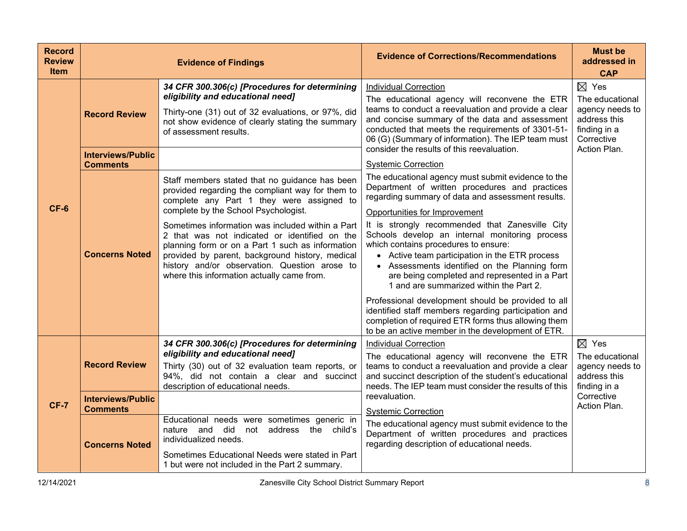| <b>Record</b><br><b>Review</b><br><b>Item</b> |                                                                                              | <b>Evidence of Findings</b>                                                                                                                                                                                                                                                                                                                                                                                                                                                                                                                                                                                                                                                                                                  | <b>Evidence of Corrections/Recommendations</b>                                                                                                                                                                                                                                                                                                                                                                                                                                                                                                                                                                                                                                                                                                                                                                                                                                                                                                                                                                                                                                                                                                    | <b>Must be</b><br>addressed in<br><b>CAP</b>                                                                        |
|-----------------------------------------------|----------------------------------------------------------------------------------------------|------------------------------------------------------------------------------------------------------------------------------------------------------------------------------------------------------------------------------------------------------------------------------------------------------------------------------------------------------------------------------------------------------------------------------------------------------------------------------------------------------------------------------------------------------------------------------------------------------------------------------------------------------------------------------------------------------------------------------|---------------------------------------------------------------------------------------------------------------------------------------------------------------------------------------------------------------------------------------------------------------------------------------------------------------------------------------------------------------------------------------------------------------------------------------------------------------------------------------------------------------------------------------------------------------------------------------------------------------------------------------------------------------------------------------------------------------------------------------------------------------------------------------------------------------------------------------------------------------------------------------------------------------------------------------------------------------------------------------------------------------------------------------------------------------------------------------------------------------------------------------------------|---------------------------------------------------------------------------------------------------------------------|
| $CF-6$                                        | <b>Record Review</b><br><b>Interviews/Public</b><br><b>Comments</b><br><b>Concerns Noted</b> | 34 CFR 300.306(c) [Procedures for determining<br>eligibility and educational need]<br>Thirty-one (31) out of 32 evaluations, or 97%, did<br>not show evidence of clearly stating the summary<br>of assessment results.<br>Staff members stated that no guidance has been<br>provided regarding the compliant way for them to<br>complete any Part 1 they were assigned to<br>complete by the School Psychologist.<br>Sometimes information was included within a Part<br>2 that was not indicated or identified on the<br>planning form or on a Part 1 such as information<br>provided by parent, background history, medical<br>history and/or observation. Question arose to<br>where this information actually came from. | <b>Individual Correction</b><br>The educational agency will reconvene the ETR<br>teams to conduct a reevaluation and provide a clear<br>and concise summary of the data and assessment<br>conducted that meets the requirements of 3301-51-<br>06 (G) (Summary of information). The IEP team must<br>consider the results of this reevaluation.<br><b>Systemic Correction</b><br>The educational agency must submit evidence to the<br>Department of written procedures and practices<br>regarding summary of data and assessment results.<br>Opportunities for Improvement<br>It is strongly recommended that Zanesville City<br>Schools develop an internal monitoring process<br>which contains procedures to ensure:<br>• Active team participation in the ETR process<br>• Assessments identified on the Planning form<br>are being completed and represented in a Part<br>1 and are summarized within the Part 2.<br>Professional development should be provided to all<br>identified staff members regarding participation and<br>completion of required ETR forms thus allowing them<br>to be an active member in the development of ETR. | $\boxtimes$ Yes<br>The educational<br>agency needs to<br>address this<br>finding in a<br>Corrective<br>Action Plan. |
| <b>CF-7</b>                                   | <b>Record Review</b>                                                                         | 34 CFR 300.306(c) [Procedures for determining<br>eligibility and educational need]<br>Thirty (30) out of 32 evaluation team reports, or<br>94%, did not contain a clear and succinct<br>description of educational needs.                                                                                                                                                                                                                                                                                                                                                                                                                                                                                                    | <b>Individual Correction</b><br>The educational agency will reconvene the ETR<br>teams to conduct a reevaluation and provide a clear<br>and succinct description of the student's educational<br>needs. The IEP team must consider the results of this                                                                                                                                                                                                                                                                                                                                                                                                                                                                                                                                                                                                                                                                                                                                                                                                                                                                                            | $\boxtimes$ Yes<br>The educational<br>agency needs to<br>address this<br>finding in a                               |
|                                               | <b>Interviews/Public</b><br><b>Comments</b><br><b>Concerns Noted</b>                         | Educational needs were sometimes generic in<br>not address<br>nature and did<br>the child's<br>individualized needs.                                                                                                                                                                                                                                                                                                                                                                                                                                                                                                                                                                                                         | reevaluation.<br><b>Systemic Correction</b><br>The educational agency must submit evidence to the<br>Department of written procedures and practices<br>regarding description of educational needs.                                                                                                                                                                                                                                                                                                                                                                                                                                                                                                                                                                                                                                                                                                                                                                                                                                                                                                                                                | Corrective<br>Action Plan.                                                                                          |
|                                               |                                                                                              | Sometimes Educational Needs were stated in Part<br>1 but were not included in the Part 2 summary.                                                                                                                                                                                                                                                                                                                                                                                                                                                                                                                                                                                                                            |                                                                                                                                                                                                                                                                                                                                                                                                                                                                                                                                                                                                                                                                                                                                                                                                                                                                                                                                                                                                                                                                                                                                                   |                                                                                                                     |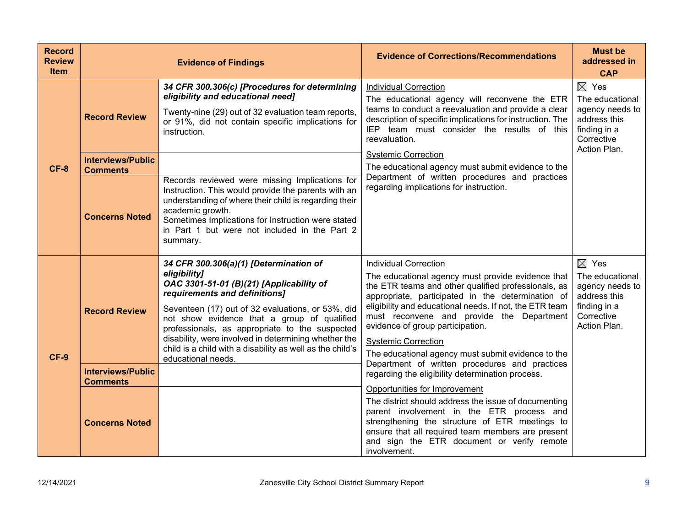| <b>Record</b><br><b>Review</b><br><b>Item</b> |                                                                      | <b>Evidence of Findings</b>                                                                                                                                                                                                                                                                                                                                                                                                          | <b>Evidence of Corrections/Recommendations</b>                                                                                                                                                                                                                                                                                                                                                                                                    | <b>Must be</b><br>addressed in<br><b>CAP</b>                                                                        |  |                                                                                                                     |
|-----------------------------------------------|----------------------------------------------------------------------|--------------------------------------------------------------------------------------------------------------------------------------------------------------------------------------------------------------------------------------------------------------------------------------------------------------------------------------------------------------------------------------------------------------------------------------|---------------------------------------------------------------------------------------------------------------------------------------------------------------------------------------------------------------------------------------------------------------------------------------------------------------------------------------------------------------------------------------------------------------------------------------------------|---------------------------------------------------------------------------------------------------------------------|--|---------------------------------------------------------------------------------------------------------------------|
| $CF-8$                                        | <b>Record Review</b>                                                 | 34 CFR 300.306(c) [Procedures for determining<br>eligibility and educational need]<br>Twenty-nine (29) out of 32 evaluation team reports,<br>or 91%, did not contain specific implications for<br>instruction.                                                                                                                                                                                                                       | <b>Individual Correction</b><br>The educational agency will reconvene the ETR<br>teams to conduct a reevaluation and provide a clear<br>description of specific implications for instruction. The<br>IEP team must consider the results of this<br>reevaluation.<br><b>Systemic Correction</b><br>The educational agency must submit evidence to the<br>Department of written procedures and practices<br>regarding implications for instruction. |                                                                                                                     |  | $\boxtimes$ Yes<br>The educational<br>agency needs to<br>address this<br>finding in a<br>Corrective<br>Action Plan. |
|                                               | <b>Interviews/Public</b><br><b>Comments</b><br><b>Concerns Noted</b> | Records reviewed were missing Implications for<br>Instruction. This would provide the parents with an<br>understanding of where their child is regarding their<br>academic growth.<br>Sometimes Implications for Instruction were stated<br>in Part 1 but were not included in the Part 2<br>summary.                                                                                                                                |                                                                                                                                                                                                                                                                                                                                                                                                                                                   |                                                                                                                     |  |                                                                                                                     |
| CF-9                                          | <b>Record Review</b>                                                 | 34 CFR 300.306(a)(1) [Determination of<br>eligibility]<br>OAC 3301-51-01 (B)(21) [Applicability of<br>requirements and definitions]<br>Seventeen (17) out of 32 evaluations, or 53%, did<br>not show evidence that a group of qualified<br>professionals, as appropriate to the suspected<br>disability, were involved in determining whether the<br>child is a child with a disability as well as the child's<br>educational needs. | <b>Individual Correction</b><br>The educational agency must provide evidence that<br>the ETR teams and other qualified professionals, as<br>appropriate, participated in the determination of<br>eligibility and educational needs. If not, the ETR team<br>must reconvene and provide the Department<br>evidence of group participation.<br><b>Systemic Correction</b><br>The educational agency must submit evidence to the                     | $\boxtimes$ Yes<br>The educational<br>agency needs to<br>address this<br>finding in a<br>Corrective<br>Action Plan. |  |                                                                                                                     |
|                                               | <b>Interviews/Public</b><br><b>Comments</b>                          |                                                                                                                                                                                                                                                                                                                                                                                                                                      | Department of written procedures and practices<br>regarding the eligibility determination process.<br>Opportunities for Improvement                                                                                                                                                                                                                                                                                                               |                                                                                                                     |  |                                                                                                                     |
|                                               | <b>Concerns Noted</b>                                                |                                                                                                                                                                                                                                                                                                                                                                                                                                      | The district should address the issue of documenting<br>parent involvement in the ETR process and<br>strengthening the structure of ETR meetings to<br>ensure that all required team members are present<br>and sign the ETR document or verify remote<br>involvement.                                                                                                                                                                            |                                                                                                                     |  |                                                                                                                     |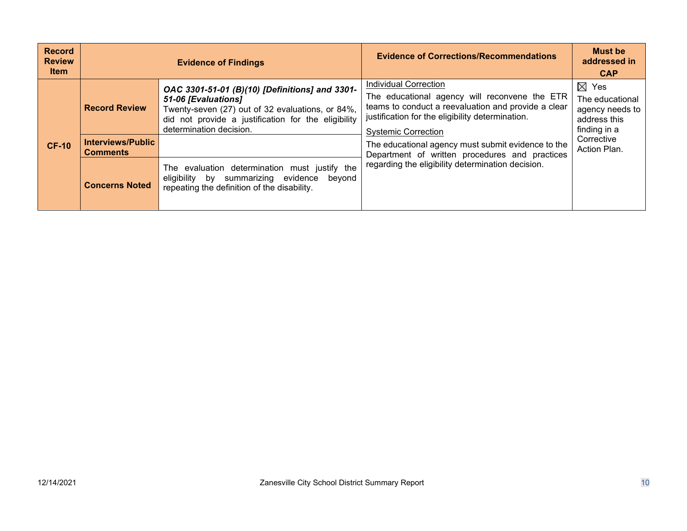| <b>Record</b><br><b>Review</b><br><b>Item</b> |                                                                      | <b>Evidence of Findings</b>                                                                                                                                                                                 | <b>Evidence of Corrections/Recommendations</b>                                                                                                                                                                                                                                                                                                                                      | <b>Must be</b><br>addressed in<br><b>CAP</b>                                                                        |
|-----------------------------------------------|----------------------------------------------------------------------|-------------------------------------------------------------------------------------------------------------------------------------------------------------------------------------------------------------|-------------------------------------------------------------------------------------------------------------------------------------------------------------------------------------------------------------------------------------------------------------------------------------------------------------------------------------------------------------------------------------|---------------------------------------------------------------------------------------------------------------------|
| <b>CF-10</b>                                  | <b>Record Review</b>                                                 | OAC 3301-51-01 (B)(10) [Definitions] and 3301-<br>51-06 [Evaluations]<br>Twenty-seven (27) out of 32 evaluations, or 84%,<br>did not provide a justification for the eligibility<br>determination decision. | <b>Individual Correction</b><br>The educational agency will reconvene the ETR<br>teams to conduct a reevaluation and provide a clear<br>justification for the eligibility determination.<br><b>Systemic Correction</b><br>The educational agency must submit evidence to the<br>Department of written procedures and practices<br>regarding the eligibility determination decision. | $\boxtimes$ Yes<br>The educational<br>agency needs to<br>address this<br>finding in a<br>Corrective<br>Action Plan. |
|                                               | <b>Interviews/Public</b><br><b>Comments</b><br><b>Concerns Noted</b> | The evaluation determination must justify the<br>eligibility by summarizing evidence<br>beyond<br>repeating the definition of the disability.                                                               |                                                                                                                                                                                                                                                                                                                                                                                     |                                                                                                                     |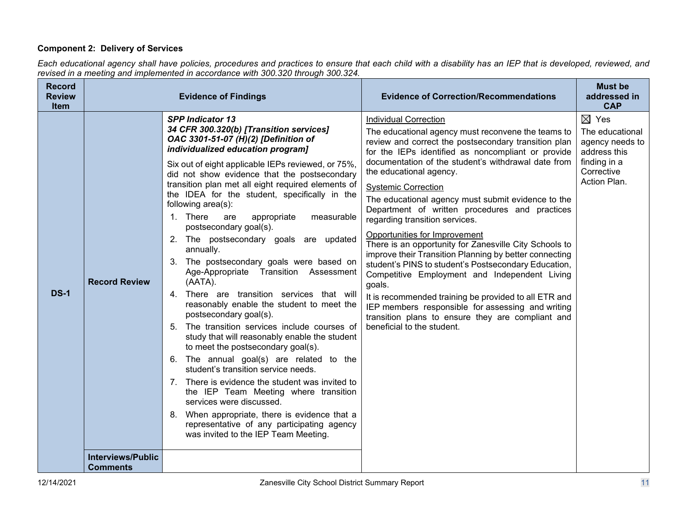## **Component 2: Delivery of Services**

*Each educational agency shall have policies, procedures and practices to ensure that each child with a disability has an IEP that is developed, reviewed, and revised in a meeting and implemented in accordance with 300.320 through 300.324.*

| <b>Record</b><br><b>Review</b><br><b>Item</b> |                                             | <b>Evidence of Findings</b>                                                                                                                                                                                                                                                                                                                                                                                                                                                                                                                                                                                                                                                                                                                                                                                                                                                                                                                                                                                                                                                                                                                                                                                                        | <b>Evidence of Correction/Recommendations</b>                                                                                                                                                                                                                                                                                                                                                                                                                                                                                                                                                                                                                                                                                                                                                                                                                                                                                       | <b>Must be</b><br>addressed in<br><b>CAP</b>                                                                        |
|-----------------------------------------------|---------------------------------------------|------------------------------------------------------------------------------------------------------------------------------------------------------------------------------------------------------------------------------------------------------------------------------------------------------------------------------------------------------------------------------------------------------------------------------------------------------------------------------------------------------------------------------------------------------------------------------------------------------------------------------------------------------------------------------------------------------------------------------------------------------------------------------------------------------------------------------------------------------------------------------------------------------------------------------------------------------------------------------------------------------------------------------------------------------------------------------------------------------------------------------------------------------------------------------------------------------------------------------------|-------------------------------------------------------------------------------------------------------------------------------------------------------------------------------------------------------------------------------------------------------------------------------------------------------------------------------------------------------------------------------------------------------------------------------------------------------------------------------------------------------------------------------------------------------------------------------------------------------------------------------------------------------------------------------------------------------------------------------------------------------------------------------------------------------------------------------------------------------------------------------------------------------------------------------------|---------------------------------------------------------------------------------------------------------------------|
| <b>DS-1</b>                                   | <b>Record Review</b>                        | <b>SPP Indicator 13</b><br>34 CFR 300.320(b) [Transition services]<br>OAC 3301-51-07 (H)(2) [Definition of<br>individualized education program]<br>Six out of eight applicable IEPs reviewed, or 75%,<br>did not show evidence that the postsecondary<br>transition plan met all eight required elements of<br>the IDEA for the student, specifically in the<br>following area(s):<br>1. There<br>appropriate<br>are<br>measurable<br>postsecondary goal(s).<br>2. The postsecondary goals are updated<br>annually.<br>3. The postsecondary goals were based on<br>Age-Appropriate Transition Assessment<br>(AATA).<br>4. There are transition services that will<br>reasonably enable the student to meet the<br>postsecondary goal(s).<br>5. The transition services include courses of<br>study that will reasonably enable the student<br>to meet the postsecondary goal(s).<br>6. The annual goal(s) are related to the<br>student's transition service needs.<br>7. There is evidence the student was invited to<br>the IEP Team Meeting where transition<br>services were discussed.<br>8. When appropriate, there is evidence that a<br>representative of any participating agency<br>was invited to the IEP Team Meeting. | <b>Individual Correction</b><br>The educational agency must reconvene the teams to<br>review and correct the postsecondary transition plan<br>for the IEPs identified as noncompliant or provide<br>documentation of the student's withdrawal date from<br>the educational agency.<br><b>Systemic Correction</b><br>The educational agency must submit evidence to the<br>Department of written procedures and practices<br>regarding transition services.<br>Opportunities for Improvement<br>There is an opportunity for Zanesville City Schools to<br>improve their Transition Planning by better connecting<br>student's PINS to student's Postsecondary Education,<br>Competitive Employment and Independent Living<br>goals.<br>It is recommended training be provided to all ETR and<br>IEP members responsible for assessing and writing<br>transition plans to ensure they are compliant and<br>beneficial to the student. | $\boxtimes$ Yes<br>The educational<br>agency needs to<br>address this<br>finding in a<br>Corrective<br>Action Plan. |
|                                               | <b>Interviews/Public</b><br><b>Comments</b> |                                                                                                                                                                                                                                                                                                                                                                                                                                                                                                                                                                                                                                                                                                                                                                                                                                                                                                                                                                                                                                                                                                                                                                                                                                    |                                                                                                                                                                                                                                                                                                                                                                                                                                                                                                                                                                                                                                                                                                                                                                                                                                                                                                                                     |                                                                                                                     |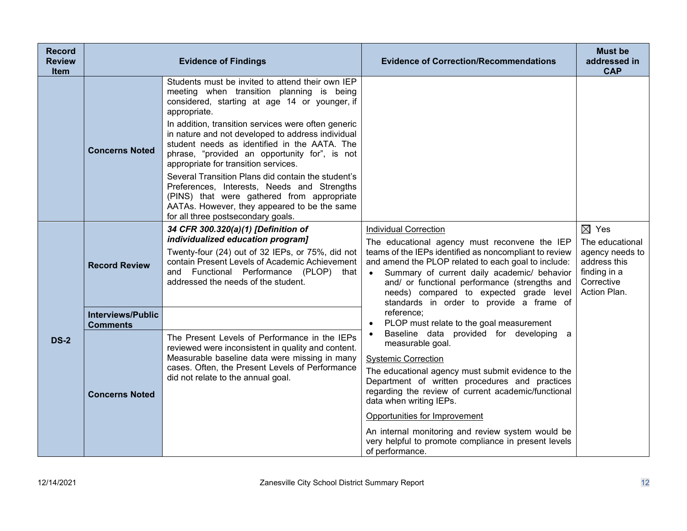| <b>Record</b><br><b>Review</b><br><b>Item</b> |                                             | <b>Evidence of Findings</b>                                                                                                                                                                                                                                                                                                                                                                                                                                                                                                                                                                                                                                  | <b>Evidence of Correction/Recommendations</b>                                                                                                                                                                                                                                                                                                                                                                                                        | <b>Must be</b><br>addressed in<br><b>CAP</b>                                                                        |
|-----------------------------------------------|---------------------------------------------|--------------------------------------------------------------------------------------------------------------------------------------------------------------------------------------------------------------------------------------------------------------------------------------------------------------------------------------------------------------------------------------------------------------------------------------------------------------------------------------------------------------------------------------------------------------------------------------------------------------------------------------------------------------|------------------------------------------------------------------------------------------------------------------------------------------------------------------------------------------------------------------------------------------------------------------------------------------------------------------------------------------------------------------------------------------------------------------------------------------------------|---------------------------------------------------------------------------------------------------------------------|
|                                               | <b>Concerns Noted</b>                       | Students must be invited to attend their own IEP<br>meeting when transition planning is being<br>considered, starting at age 14 or younger, if<br>appropriate.<br>In addition, transition services were often generic<br>in nature and not developed to address individual<br>student needs as identified in the AATA. The<br>phrase, "provided an opportunity for", is not<br>appropriate for transition services.<br>Several Transition Plans did contain the student's<br>Preferences, Interests, Needs and Strengths<br>(PINS) that were gathered from appropriate<br>AATAs. However, they appeared to be the same<br>for all three postsecondary goals. |                                                                                                                                                                                                                                                                                                                                                                                                                                                      |                                                                                                                     |
|                                               | <b>Record Review</b>                        | 34 CFR 300.320(a)(1) [Definition of<br>individualized education program]<br>Twenty-four (24) out of 32 IEPs, or 75%, did not<br>contain Present Levels of Academic Achievement<br>and Functional Performance (PLOP) that<br>addressed the needs of the student.                                                                                                                                                                                                                                                                                                                                                                                              | <b>Individual Correction</b><br>The educational agency must reconvene the IEP<br>teams of the IEPs identified as noncompliant to review<br>and amend the PLOP related to each goal to include:<br>Summary of current daily academic/ behavior<br>and/ or functional performance (strengths and<br>needs) compared to expected grade level<br>standards in order to provide a frame of                                                                | $\boxtimes$ Yes<br>The educational<br>agency needs to<br>address this<br>finding in a<br>Corrective<br>Action Plan. |
|                                               | <b>Interviews/Public</b><br><b>Comments</b> |                                                                                                                                                                                                                                                                                                                                                                                                                                                                                                                                                                                                                                                              | reference;<br>PLOP must relate to the goal measurement                                                                                                                                                                                                                                                                                                                                                                                               |                                                                                                                     |
| <b>DS-2</b>                                   | <b>Concerns Noted</b>                       | The Present Levels of Performance in the IEPs<br>reviewed were inconsistent in quality and content.<br>Measurable baseline data were missing in many<br>cases. Often, the Present Levels of Performance<br>did not relate to the annual goal.                                                                                                                                                                                                                                                                                                                                                                                                                | Baseline data provided for developing a<br>measurable goal.<br><b>Systemic Correction</b><br>The educational agency must submit evidence to the<br>Department of written procedures and practices<br>regarding the review of current academic/functional<br>data when writing IEPs.<br>Opportunities for Improvement<br>An internal monitoring and review system would be<br>very helpful to promote compliance in present levels<br>of performance. |                                                                                                                     |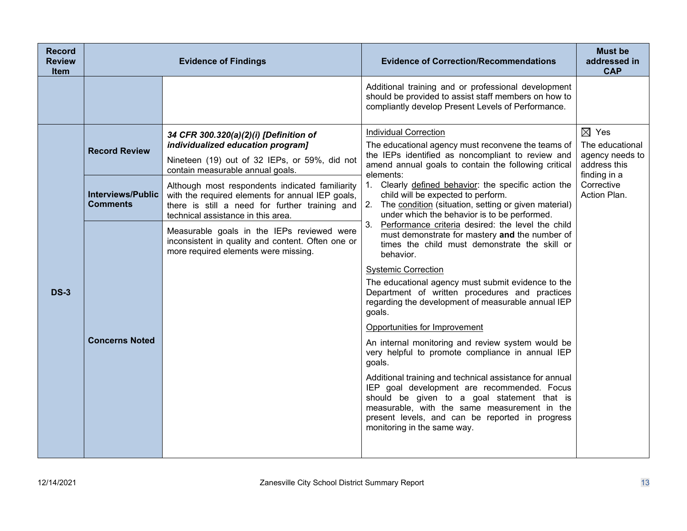| <b>Record</b><br><b>Review</b><br><b>Item</b> |                                             | <b>Evidence of Findings</b>                                                                                                                                                                 | <b>Evidence of Correction/Recommendations</b>                                                                                                                                                                                                                                           | <b>Must be</b><br>addressed in<br><b>CAP</b>                          |
|-----------------------------------------------|---------------------------------------------|---------------------------------------------------------------------------------------------------------------------------------------------------------------------------------------------|-----------------------------------------------------------------------------------------------------------------------------------------------------------------------------------------------------------------------------------------------------------------------------------------|-----------------------------------------------------------------------|
|                                               |                                             |                                                                                                                                                                                             | Additional training and or professional development<br>should be provided to assist staff members on how to<br>compliantly develop Present Levels of Performance.                                                                                                                       |                                                                       |
| <b>DS-3</b>                                   | <b>Record Review</b>                        | 34 CFR 300.320(a)(2)(i) [Definition of<br>individualized education program]<br>Nineteen (19) out of 32 IEPs, or 59%, did not<br>contain measurable annual goals.                            | Individual Correction<br>The educational agency must reconvene the teams of<br>the IEPs identified as noncompliant to review and<br>amend annual goals to contain the following critical                                                                                                | $\boxtimes$ Yes<br>The educational<br>agency needs to<br>address this |
|                                               | <b>Interviews/Public</b><br><b>Comments</b> | Although most respondents indicated familiarity<br>with the required elements for annual IEP goals,<br>there is still a need for further training and<br>technical assistance in this area. | elements:<br>1. Clearly defined behavior: the specific action the<br>child will be expected to perform.<br>2.<br>The condition (situation, setting or given material)<br>under which the behavior is to be performed.                                                                   | Corrective<br>Action Plan.                                            |
|                                               |                                             | Measurable goals in the IEPs reviewed were<br>inconsistent in quality and content. Often one or<br>more required elements were missing.                                                     | 3.<br>Performance criteria desired: the level the child<br>must demonstrate for mastery and the number of<br>times the child must demonstrate the skill or<br>behavior.                                                                                                                 |                                                                       |
|                                               |                                             |                                                                                                                                                                                             | <b>Systemic Correction</b><br>The educational agency must submit evidence to the<br>Department of written procedures and practices<br>regarding the development of measurable annual IEP<br>goals.                                                                                      |                                                                       |
|                                               |                                             |                                                                                                                                                                                             | Opportunities for Improvement                                                                                                                                                                                                                                                           |                                                                       |
|                                               | <b>Concerns Noted</b>                       |                                                                                                                                                                                             | An internal monitoring and review system would be<br>very helpful to promote compliance in annual IEP<br>goals.                                                                                                                                                                         | finding in a                                                          |
|                                               |                                             |                                                                                                                                                                                             | Additional training and technical assistance for annual<br>IEP goal development are recommended. Focus<br>should be given to a goal statement that is<br>measurable, with the same measurement in the<br>present levels, and can be reported in progress<br>monitoring in the same way. |                                                                       |
|                                               |                                             |                                                                                                                                                                                             |                                                                                                                                                                                                                                                                                         |                                                                       |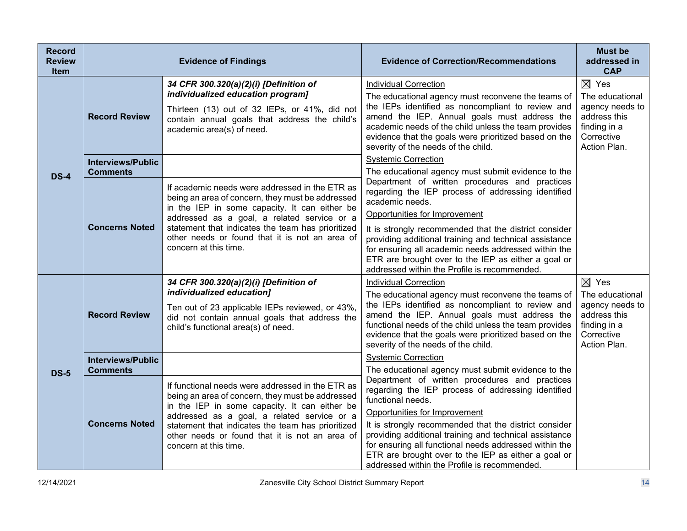| <b>Record</b><br><b>Review</b><br><b>Item</b> |                                             | <b>Evidence of Findings</b>                                                                                                                                                                                                                                                                                                          | <b>Evidence of Correction/Recommendations</b>                                                                                                                                                                                                                                                                                                                                                                                                  | <b>Must be</b><br>addressed in<br><b>CAP</b>                                                                        |
|-----------------------------------------------|---------------------------------------------|--------------------------------------------------------------------------------------------------------------------------------------------------------------------------------------------------------------------------------------------------------------------------------------------------------------------------------------|------------------------------------------------------------------------------------------------------------------------------------------------------------------------------------------------------------------------------------------------------------------------------------------------------------------------------------------------------------------------------------------------------------------------------------------------|---------------------------------------------------------------------------------------------------------------------|
|                                               | <b>Record Review</b>                        | 34 CFR 300.320(a)(2)(i) [Definition of<br>individualized education program]<br>Thirteen (13) out of 32 IEPs, or 41%, did not<br>contain annual goals that address the child's<br>academic area(s) of need.                                                                                                                           | <b>Individual Correction</b><br>The educational agency must reconvene the teams of<br>the IEPs identified as noncompliant to review and<br>amend the IEP. Annual goals must address the<br>academic needs of the child unless the team provides<br>evidence that the goals were prioritized based on the<br>severity of the needs of the child.                                                                                                | $\boxtimes$ Yes<br>The educational<br>agency needs to<br>address this<br>finding in a<br>Corrective<br>Action Plan. |
|                                               | <b>Interviews/Public</b><br><b>Comments</b> |                                                                                                                                                                                                                                                                                                                                      | <b>Systemic Correction</b><br>The educational agency must submit evidence to the                                                                                                                                                                                                                                                                                                                                                               |                                                                                                                     |
| <b>DS-4</b>                                   | <b>Concerns Noted</b>                       | If academic needs were addressed in the ETR as<br>being an area of concern, they must be addressed<br>in the IEP in some capacity. It can either be<br>addressed as a goal, a related service or a<br>statement that indicates the team has prioritized<br>other needs or found that it is not an area of<br>concern at this time.   | Department of written procedures and practices<br>regarding the IEP process of addressing identified<br>academic needs.<br>Opportunities for Improvement<br>It is strongly recommended that the district consider<br>providing additional training and technical assistance<br>for ensuring all academic needs addressed within the<br>ETR are brought over to the IEP as either a goal or<br>addressed within the Profile is recommended.     |                                                                                                                     |
|                                               | <b>Record Review</b>                        | 34 CFR 300.320(a)(2)(i) [Definition of<br>individualized education]<br>Ten out of 23 applicable IEPs reviewed, or 43%,<br>did not contain annual goals that address the<br>child's functional area(s) of need.                                                                                                                       | <b>Individual Correction</b><br>The educational agency must reconvene the teams of<br>the IEPs identified as noncompliant to review and<br>amend the IEP. Annual goals must address the<br>functional needs of the child unless the team provides<br>evidence that the goals were prioritized based on the<br>severity of the needs of the child.                                                                                              | $\boxtimes$ Yes<br>The educational<br>agency needs to<br>address this<br>finding in a<br>Corrective<br>Action Plan. |
|                                               | <b>Interviews/Public</b><br><b>Comments</b> |                                                                                                                                                                                                                                                                                                                                      | <b>Systemic Correction</b><br>The educational agency must submit evidence to the                                                                                                                                                                                                                                                                                                                                                               |                                                                                                                     |
| <b>DS-5</b>                                   | <b>Concerns Noted</b>                       | If functional needs were addressed in the ETR as<br>being an area of concern, they must be addressed<br>in the IEP in some capacity. It can either be<br>addressed as a goal, a related service or a<br>statement that indicates the team has prioritized<br>other needs or found that it is not an area of<br>concern at this time. | Department of written procedures and practices<br>regarding the IEP process of addressing identified<br>functional needs.<br>Opportunities for Improvement<br>It is strongly recommended that the district consider<br>providing additional training and technical assistance<br>for ensuring all functional needs addressed within the<br>ETR are brought over to the IEP as either a goal or<br>addressed within the Profile is recommended. |                                                                                                                     |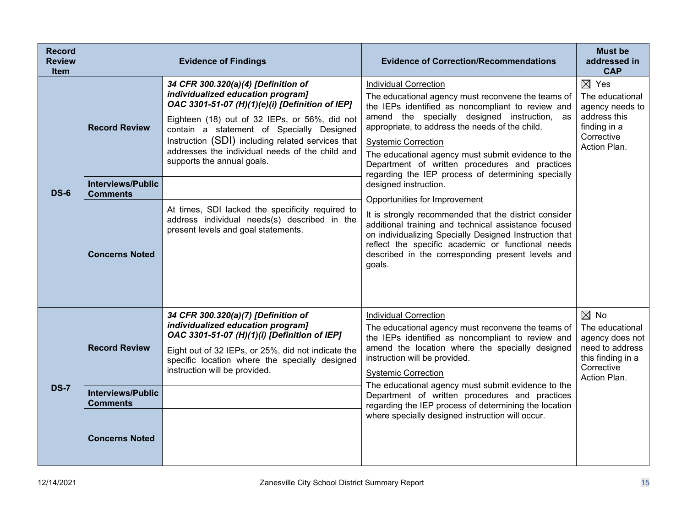| <b>Record</b><br><b>Review</b><br><b>Item</b> |                                             | <b>Evidence of Findings</b>                                                                                                                                                                                                                                                                                                                                     | <b>Evidence of Correction/Recommendations</b>                                                                                                                                                                                                                                                                                                                                                                                          | <b>Must be</b><br>addressed in<br><b>CAP</b>                                                                               |
|-----------------------------------------------|---------------------------------------------|-----------------------------------------------------------------------------------------------------------------------------------------------------------------------------------------------------------------------------------------------------------------------------------------------------------------------------------------------------------------|----------------------------------------------------------------------------------------------------------------------------------------------------------------------------------------------------------------------------------------------------------------------------------------------------------------------------------------------------------------------------------------------------------------------------------------|----------------------------------------------------------------------------------------------------------------------------|
|                                               | <b>Record Review</b>                        | 34 CFR 300.320(a)(4) [Definition of<br>individualized education program]<br>OAC 3301-51-07 (H)(1)(e)(i) [Definition of IEP]<br>Eighteen (18) out of 32 IEPs, or 56%, did not<br>contain a statement of Specially Designed<br>Instruction (SDI) including related services that<br>addresses the individual needs of the child and<br>supports the annual goals. | <b>Individual Correction</b><br>The educational agency must reconvene the teams of<br>the IEPs identified as noncompliant to review and<br>amend the specially designed instruction, as<br>appropriate, to address the needs of the child.<br><b>Systemic Correction</b><br>The educational agency must submit evidence to the<br>Department of written procedures and practices<br>regarding the IEP process of determining specially | $\boxtimes$ Yes<br>The educational<br>agency needs to<br>address this<br>finding in a<br>Corrective<br>Action Plan.        |
| <b>DS-6</b>                                   | <b>Interviews/Public</b><br><b>Comments</b> |                                                                                                                                                                                                                                                                                                                                                                 | designed instruction.<br>Opportunities for Improvement                                                                                                                                                                                                                                                                                                                                                                                 |                                                                                                                            |
|                                               | <b>Concerns Noted</b>                       | At times, SDI lacked the specificity required to<br>address individual needs(s) described in the<br>present levels and goal statements.                                                                                                                                                                                                                         | It is strongly recommended that the district consider<br>additional training and technical assistance focused<br>on individualizing Specially Designed Instruction that<br>reflect the specific academic or functional needs<br>described in the corresponding present levels and<br>goals.                                                                                                                                            |                                                                                                                            |
| <b>DS-7</b>                                   | <b>Record Review</b>                        | 34 CFR 300.320(a)(7) [Definition of<br>individualized education program]<br>OAC 3301-51-07 (H)(1)(i) [Definition of IEP]<br>Eight out of 32 IEPs, or 25%, did not indicate the<br>specific location where the specially designed<br>instruction will be provided.                                                                                               | <b>Individual Correction</b><br>The educational agency must reconvene the teams of<br>the IEPs identified as noncompliant to review and<br>amend the location where the specially designed<br>instruction will be provided.<br><b>Systemic Correction</b><br>The educational agency must submit evidence to the                                                                                                                        | $\boxtimes$ No<br>The educational<br>agency does not<br>need to address<br>this finding in a<br>Corrective<br>Action Plan. |
|                                               | <b>Interviews/Public</b><br><b>Comments</b> |                                                                                                                                                                                                                                                                                                                                                                 | Department of written procedures and practices<br>regarding the IEP process of determining the location                                                                                                                                                                                                                                                                                                                                |                                                                                                                            |
|                                               | <b>Concerns Noted</b>                       |                                                                                                                                                                                                                                                                                                                                                                 | where specially designed instruction will occur.                                                                                                                                                                                                                                                                                                                                                                                       |                                                                                                                            |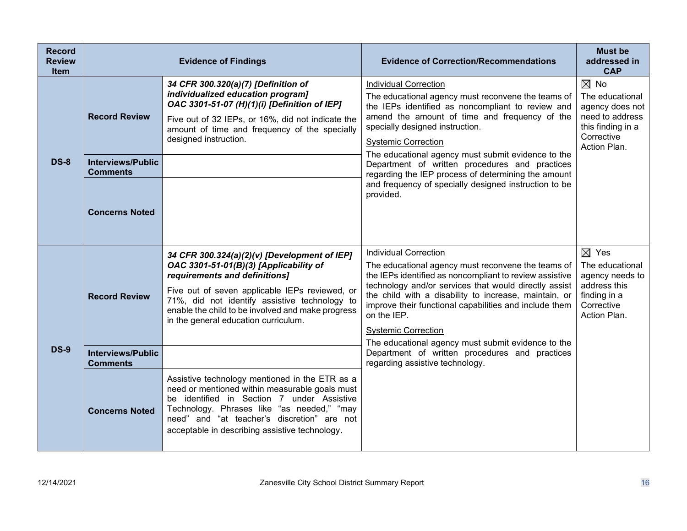| <b>Record</b><br><b>Review</b><br><b>Item</b> |                                                                     | <b>Evidence of Findings</b>                                                                                                                                                                                                                                                                                             | <b>Evidence of Correction/Recommendations</b>                                                                                                                                                                                                                                                                                                                                                                                                                                                  | <b>Must be</b><br>addressed in<br><b>CAP</b>                                                                               |
|-----------------------------------------------|---------------------------------------------------------------------|-------------------------------------------------------------------------------------------------------------------------------------------------------------------------------------------------------------------------------------------------------------------------------------------------------------------------|------------------------------------------------------------------------------------------------------------------------------------------------------------------------------------------------------------------------------------------------------------------------------------------------------------------------------------------------------------------------------------------------------------------------------------------------------------------------------------------------|----------------------------------------------------------------------------------------------------------------------------|
| <b>DS-8</b>                                   | <b>Record Review</b><br><b>Interviews/Public</b><br><b>Comments</b> | 34 CFR 300.320(a)(7) [Definition of<br>individualized education program]<br>OAC 3301-51-07 (H)(1)(i) [Definition of IEP]<br>Five out of 32 IEPs, or 16%, did not indicate the<br>amount of time and frequency of the specially<br>designed instruction.                                                                 | <b>Individual Correction</b><br>The educational agency must reconvene the teams of<br>the IEPs identified as noncompliant to review and<br>amend the amount of time and frequency of the<br>specially designed instruction.<br><b>Systemic Correction</b><br>The educational agency must submit evidence to the<br>Department of written procedures and practices<br>regarding the IEP process of determining the amount<br>and frequency of specially designed instruction to be<br>provided. | $\boxtimes$ No<br>The educational<br>agency does not<br>need to address<br>this finding in a<br>Corrective<br>Action Plan. |
|                                               | <b>Concerns Noted</b>                                               |                                                                                                                                                                                                                                                                                                                         |                                                                                                                                                                                                                                                                                                                                                                                                                                                                                                |                                                                                                                            |
| <b>DS-9</b>                                   | <b>Record Review</b>                                                | 34 CFR 300.324(a)(2)(v) [Development of IEP]<br>OAC 3301-51-01(B)(3) [Applicability of<br>requirements and definitions]<br>Five out of seven applicable IEPs reviewed, or<br>71%, did not identify assistive technology to<br>enable the child to be involved and make progress<br>in the general education curriculum. | <b>Individual Correction</b><br>The educational agency must reconvene the teams of<br>the IEPs identified as noncompliant to review assistive<br>technology and/or services that would directly assist<br>the child with a disability to increase, maintain, or<br>improve their functional capabilities and include them<br>on the IEP.<br><b>Systemic Correction</b><br>The educational agency must submit evidence to the                                                                   | $\boxtimes$ Yes<br>The educational<br>agency needs to<br>address this<br>finding in a<br>Corrective<br>Action Plan.        |
|                                               | <b>Interviews/Public</b><br><b>Comments</b>                         |                                                                                                                                                                                                                                                                                                                         | Department of written procedures and practices<br>regarding assistive technology.                                                                                                                                                                                                                                                                                                                                                                                                              |                                                                                                                            |
|                                               | <b>Concerns Noted</b>                                               | Assistive technology mentioned in the ETR as a<br>need or mentioned within measurable goals must<br>be identified in Section 7 under Assistive<br>Technology. Phrases like "as needed," "may<br>need" and "at teacher's discretion" are not<br>acceptable in describing assistive technology.                           |                                                                                                                                                                                                                                                                                                                                                                                                                                                                                                |                                                                                                                            |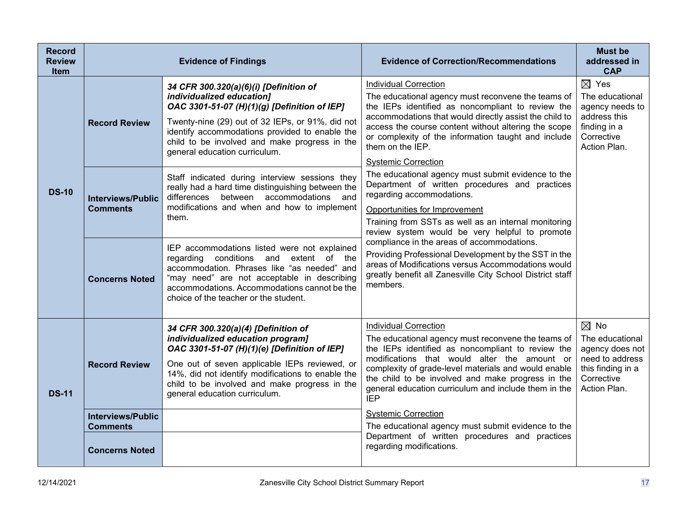| <b>Record</b><br><b>Review</b><br><b>Item</b> | <b>Evidence of Findings</b>                                          |                                                                                                                                                                                                                                                                                                                  | <b>Evidence of Correction/Recommendations</b>                                                                                                                                                                                                                                                                                                                              | <b>Must be</b><br>addressed in<br><b>CAP</b>                                                                               |
|-----------------------------------------------|----------------------------------------------------------------------|------------------------------------------------------------------------------------------------------------------------------------------------------------------------------------------------------------------------------------------------------------------------------------------------------------------|----------------------------------------------------------------------------------------------------------------------------------------------------------------------------------------------------------------------------------------------------------------------------------------------------------------------------------------------------------------------------|----------------------------------------------------------------------------------------------------------------------------|
| <b>DS-10</b>                                  | <b>Record Review</b>                                                 | 34 CFR 300.320(a)(6)(i) [Definition of<br>individualized education]<br>OAC 3301-51-07 (H)(1)(g) [Definition of IEP]<br>Twenty-nine (29) out of 32 IEPs, or 91%, did not<br>identify accommodations provided to enable the<br>child to be involved and make progress in the<br>general education curriculum.      | <b>Individual Correction</b><br>The educational agency must reconvene the teams of<br>the IEPs identified as noncompliant to review the<br>accommodations that would directly assist the child to<br>access the course content without altering the scope<br>or complexity of the information taught and include<br>them on the IEP.<br><b>Systemic Correction</b>         | $\boxtimes$ Yes<br>The educational<br>agency needs to<br>address this<br>finding in a<br>Corrective<br>Action Plan.        |
|                                               | <b>Interviews/Public</b><br><b>Comments</b>                          | Staff indicated during interview sessions they<br>really had a hard time distinguishing between the<br>differences between accommodations<br>and<br>modifications and when and how to implement<br>them.                                                                                                         | The educational agency must submit evidence to the<br>Department of written procedures and practices<br>regarding accommodations.<br>Opportunities for Improvement<br>Training from SSTs as well as an internal monitoring<br>review system would be very helpful to promote                                                                                               |                                                                                                                            |
|                                               | <b>Concerns Noted</b>                                                | IEP accommodations listed were not explained<br>regarding<br>conditions and extent of the<br>accommodation. Phrases like "as needed" and<br>"may need" are not acceptable in describing<br>accommodations. Accommodations cannot be the<br>choice of the teacher or the student.                                 | compliance in the areas of accommodations.<br>Providing Professional Development by the SST in the<br>areas of Modifications versus Accommodations would<br>greatly benefit all Zanesville City School District staff<br>members.                                                                                                                                          |                                                                                                                            |
| <b>DS-11</b>                                  | <b>Record Review</b>                                                 | 34 CFR 300.320(a)(4) [Definition of<br>individualized education program]<br>OAC 3301-51-07 (H)(1)(e) [Definition of IEP]<br>One out of seven applicable IEPs reviewed, or<br>14%, did not identify modifications to enable the<br>child to be involved and make progress in the<br>general education curriculum. | <b>Individual Correction</b><br>The educational agency must reconvene the teams of<br>the IEPs identified as noncompliant to review the<br>modifications that would alter the amount or<br>complexity of grade-level materials and would enable<br>the child to be involved and make progress in the<br>general education curriculum and include them in the<br><b>IEP</b> | $\boxtimes$ No<br>The educational<br>agency does not<br>need to address<br>this finding in a<br>Corrective<br>Action Plan. |
|                                               | <b>Interviews/Public</b><br><b>Comments</b><br><b>Concerns Noted</b> |                                                                                                                                                                                                                                                                                                                  | <b>Systemic Correction</b><br>The educational agency must submit evidence to the<br>Department of written procedures and practices<br>regarding modifications.                                                                                                                                                                                                             |                                                                                                                            |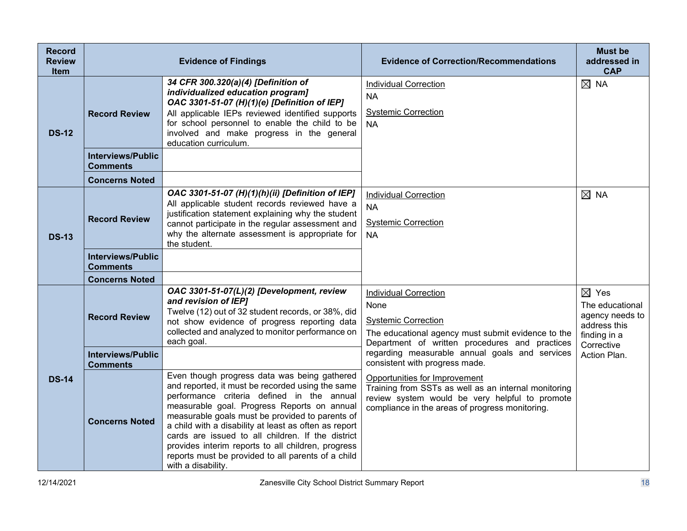| <b>Record</b><br><b>Review</b><br><b>Item</b> | <b>Evidence of Findings</b>                 |                                                                                                                                                                                                                                                                                                                                                                                                                                                                                                  | <b>Evidence of Correction/Recommendations</b>                                                                                                                                              | <b>Must be</b><br>addressed in<br><b>CAP</b>                                                        |
|-----------------------------------------------|---------------------------------------------|--------------------------------------------------------------------------------------------------------------------------------------------------------------------------------------------------------------------------------------------------------------------------------------------------------------------------------------------------------------------------------------------------------------------------------------------------------------------------------------------------|--------------------------------------------------------------------------------------------------------------------------------------------------------------------------------------------|-----------------------------------------------------------------------------------------------------|
| <b>DS-12</b>                                  | <b>Record Review</b>                        | 34 CFR 300.320(a)(4) [Definition of<br>individualized education program]<br>OAC 3301-51-07 (H)(1)(e) [Definition of IEP]<br>All applicable IEPs reviewed identified supports<br>for school personnel to enable the child to be<br>involved and make progress in the general<br>education curriculum.                                                                                                                                                                                             | Individual Correction<br><b>NA</b><br><b>Systemic Correction</b><br>NA.                                                                                                                    | $\boxtimes$ NA                                                                                      |
|                                               | <b>Interviews/Public</b><br><b>Comments</b> |                                                                                                                                                                                                                                                                                                                                                                                                                                                                                                  |                                                                                                                                                                                            |                                                                                                     |
|                                               | <b>Concerns Noted</b>                       |                                                                                                                                                                                                                                                                                                                                                                                                                                                                                                  |                                                                                                                                                                                            |                                                                                                     |
| <b>DS-13</b>                                  | <b>Record Review</b>                        | OAC 3301-51-07 (H)(1)(h)(ii) [Definition of IEP]<br>All applicable student records reviewed have a<br>justification statement explaining why the student<br>cannot participate in the regular assessment and<br>why the alternate assessment is appropriate for<br>the student.                                                                                                                                                                                                                  | <b>Individual Correction</b><br><b>NA</b><br><b>Systemic Correction</b><br><b>NA</b>                                                                                                       | $\boxtimes$ NA                                                                                      |
|                                               | <b>Interviews/Public</b><br><b>Comments</b> |                                                                                                                                                                                                                                                                                                                                                                                                                                                                                                  |                                                                                                                                                                                            |                                                                                                     |
|                                               | <b>Concerns Noted</b>                       |                                                                                                                                                                                                                                                                                                                                                                                                                                                                                                  |                                                                                                                                                                                            |                                                                                                     |
| <b>DS-14</b>                                  | <b>Record Review</b>                        | OAC 3301-51-07(L)(2) [Development, review<br>and revision of IEP]<br>Twelve (12) out of 32 student records, or 38%, did<br>not show evidence of progress reporting data<br>collected and analyzed to monitor performance on<br>each goal.                                                                                                                                                                                                                                                        | <b>Individual Correction</b><br>None<br><b>Systemic Correction</b><br>The educational agency must submit evidence to the<br>Department of written procedures and practices                 | $\boxtimes$ Yes<br>The educational<br>agency needs to<br>address this<br>finding in a<br>Corrective |
|                                               | <b>Interviews/Public</b><br><b>Comments</b> |                                                                                                                                                                                                                                                                                                                                                                                                                                                                                                  | regarding measurable annual goals and services<br>consistent with progress made.                                                                                                           | Action Plan.                                                                                        |
|                                               | <b>Concerns Noted</b>                       | Even though progress data was being gathered<br>and reported, it must be recorded using the same<br>performance criteria defined in the annual<br>measurable goal. Progress Reports on annual<br>measurable goals must be provided to parents of<br>a child with a disability at least as often as report<br>cards are issued to all children. If the district<br>provides interim reports to all children, progress<br>reports must be provided to all parents of a child<br>with a disability. | Opportunities for Improvement<br>Training from SSTs as well as an internal monitoring<br>review system would be very helpful to promote<br>compliance in the areas of progress monitoring. |                                                                                                     |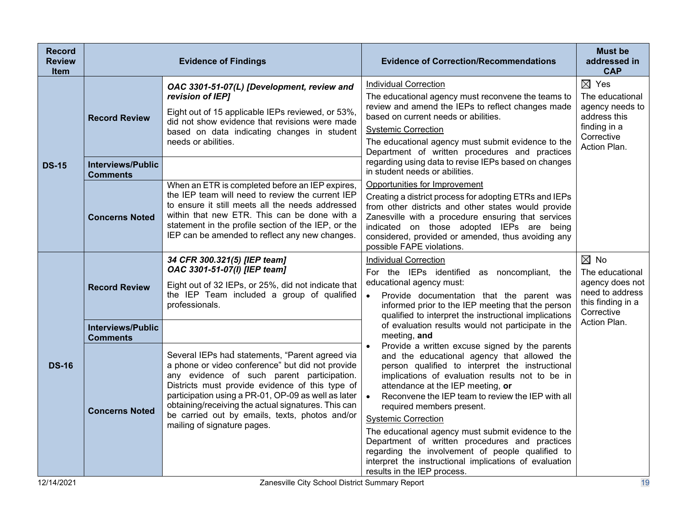| <b>Record</b><br><b>Review</b><br><b>Item</b> | <b>Evidence of Findings</b>                      |                                                                                                                                                                                                                                                                                                                                                                                                     | <b>Evidence of Correction/Recommendations</b>                                                                                                                                                                                                                                                                                                                                                                                                                                                                                                                                                                                                                                                                                                                                                                                                                                                                                                                           | <b>Must be</b><br>addressed in<br><b>CAP</b>                                                                               |
|-----------------------------------------------|--------------------------------------------------|-----------------------------------------------------------------------------------------------------------------------------------------------------------------------------------------------------------------------------------------------------------------------------------------------------------------------------------------------------------------------------------------------------|-------------------------------------------------------------------------------------------------------------------------------------------------------------------------------------------------------------------------------------------------------------------------------------------------------------------------------------------------------------------------------------------------------------------------------------------------------------------------------------------------------------------------------------------------------------------------------------------------------------------------------------------------------------------------------------------------------------------------------------------------------------------------------------------------------------------------------------------------------------------------------------------------------------------------------------------------------------------------|----------------------------------------------------------------------------------------------------------------------------|
| <b>DS-15</b>                                  | <b>Record Review</b><br><b>Interviews/Public</b> | OAC 3301-51-07(L) [Development, review and<br>revision of IEP]<br>Eight out of 15 applicable IEPs reviewed, or 53%,<br>did not show evidence that revisions were made<br>based on data indicating changes in student<br>needs or abilities.                                                                                                                                                         | <b>Individual Correction</b><br>The educational agency must reconvene the teams to<br>review and amend the IEPs to reflect changes made<br>based on current needs or abilities.<br><b>Systemic Correction</b><br>The educational agency must submit evidence to the<br>Department of written procedures and practices<br>regarding using data to revise IEPs based on changes                                                                                                                                                                                                                                                                                                                                                                                                                                                                                                                                                                                           | $\boxtimes$ Yes<br>The educational<br>agency needs to<br>address this<br>finding in a<br>Corrective<br>Action Plan.        |
|                                               | <b>Comments</b><br><b>Concerns Noted</b>         | When an ETR is completed before an IEP expires,<br>the IEP team will need to review the current IEP<br>to ensure it still meets all the needs addressed<br>within that new ETR. This can be done with a<br>statement in the profile section of the IEP, or the<br>IEP can be amended to reflect any new changes.                                                                                    | in student needs or abilities.<br>Opportunities for Improvement<br>Creating a district process for adopting ETRs and IEPs<br>from other districts and other states would provide<br>Zanesville with a procedure ensuring that services<br>indicated on those adopted IEPs are being<br>considered, provided or amended, thus avoiding any<br>possible FAPE violations.                                                                                                                                                                                                                                                                                                                                                                                                                                                                                                                                                                                                  |                                                                                                                            |
|                                               | <b>Record Review</b>                             | 34 CFR 300.321(5) [IEP team]<br>OAC 3301-51-07(I) [IEP team]<br>Eight out of 32 IEPs, or 25%, did not indicate that<br>the IEP Team included a group of qualified<br>professionals.                                                                                                                                                                                                                 | <b>Individual Correction</b><br>For the IEPs identified as noncompliant, the<br>educational agency must:<br>Provide documentation that the parent was<br>informed prior to the IEP meeting that the person<br>qualified to interpret the instructional implications<br>of evaluation results would not participate in the<br>meeting, and<br>Provide a written excuse signed by the parents<br>and the educational agency that allowed the<br>person qualified to interpret the instructional<br>implications of evaluation results not to be in<br>attendance at the IEP meeting, or<br>Reconvene the IEP team to review the IEP with all<br>$\bullet$<br>required members present.<br><b>Systemic Correction</b><br>The educational agency must submit evidence to the<br>Department of written procedures and practices<br>regarding the involvement of people qualified to<br>interpret the instructional implications of evaluation<br>results in the IEP process. | $\boxtimes$ No<br>The educational<br>agency does not<br>need to address<br>this finding in a<br>Corrective<br>Action Plan. |
|                                               | <b>Interviews/Public</b><br><b>Comments</b>      |                                                                                                                                                                                                                                                                                                                                                                                                     |                                                                                                                                                                                                                                                                                                                                                                                                                                                                                                                                                                                                                                                                                                                                                                                                                                                                                                                                                                         |                                                                                                                            |
| <b>DS-16</b>                                  | <b>Concerns Noted</b>                            | Several IEPs had statements, "Parent agreed via<br>a phone or video conference" but did not provide<br>any evidence of such parent participation.<br>Districts must provide evidence of this type of<br>participation using a PR-01, OP-09 as well as later<br>obtaining/receiving the actual signatures. This can<br>be carried out by emails, texts, photos and/or<br>mailing of signature pages. |                                                                                                                                                                                                                                                                                                                                                                                                                                                                                                                                                                                                                                                                                                                                                                                                                                                                                                                                                                         |                                                                                                                            |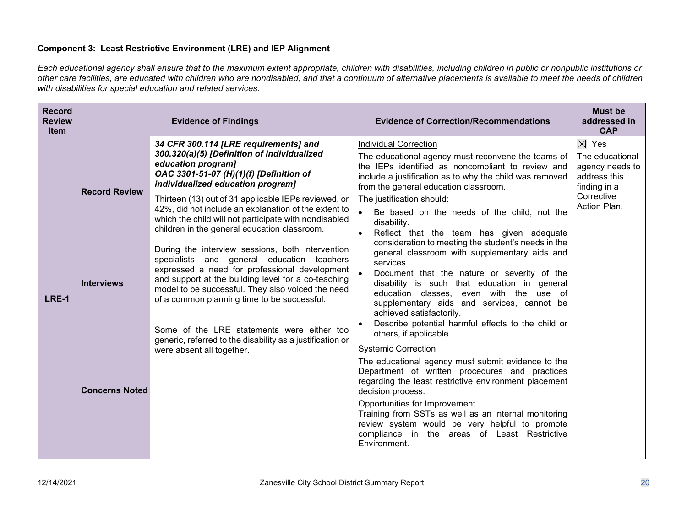## **Component 3: Least Restrictive Environment (LRE) and IEP Alignment**

*Each educational agency shall ensure that to the maximum extent appropriate, children with disabilities, including children in public or nonpublic institutions or other care facilities, are educated with children who are nondisabled; and that a continuum of alternative placements is available to meet the needs of children with disabilities for special education and related services.*

| <b>Record</b><br><b>Review</b><br><b>Item</b> | <b>Evidence of Findings</b> |                                                                                                                                                                                                                                                                                                                                                                                                                     | <b>Evidence of Correction/Recommendations</b>                                                                                                                                                                                                                                                                                                                                                                                                                                                               | <b>Must be</b><br>addressed in<br><b>CAP</b>                                                                        |
|-----------------------------------------------|-----------------------------|---------------------------------------------------------------------------------------------------------------------------------------------------------------------------------------------------------------------------------------------------------------------------------------------------------------------------------------------------------------------------------------------------------------------|-------------------------------------------------------------------------------------------------------------------------------------------------------------------------------------------------------------------------------------------------------------------------------------------------------------------------------------------------------------------------------------------------------------------------------------------------------------------------------------------------------------|---------------------------------------------------------------------------------------------------------------------|
| <b>LRE-1</b>                                  | <b>Record Review</b>        | 34 CFR 300.114 [LRE requirements] and<br>300.320(a)(5) [Definition of individualized<br>education program]<br>OAC 3301-51-07 (H)(1)(f) [Definition of<br>individualized education program]<br>Thirteen (13) out of 31 applicable IEPs reviewed, or<br>42%, did not include an explanation of the extent to<br>which the child will not participate with nondisabled<br>children in the general education classroom. | <b>Individual Correction</b><br>The educational agency must reconvene the teams of<br>the IEPs identified as noncompliant to review and<br>include a justification as to why the child was removed<br>from the general education classroom.<br>The justification should:<br>Be based on the needs of the child, not the<br>disability.<br>Reflect that the team has given adequate<br>$\bullet$                                                                                                             | $\boxtimes$ Yes<br>The educational<br>agency needs to<br>address this<br>finding in a<br>Corrective<br>Action Plan. |
|                                               | <b>Interviews</b>           | During the interview sessions, both intervention<br>specialists and general education teachers<br>expressed a need for professional development<br>and support at the building level for a co-teaching<br>model to be successful. They also voiced the need<br>of a common planning time to be successful.                                                                                                          | consideration to meeting the student's needs in the<br>general classroom with supplementary aids and<br>services.<br>Document that the nature or severity of the<br>disability is such that education in general<br>education classes, even with the use of<br>supplementary aids and services, cannot be<br>achieved satisfactorily.                                                                                                                                                                       |                                                                                                                     |
|                                               | <b>Concerns Noted</b>       | Some of the LRE statements were either too<br>generic, referred to the disability as a justification or<br>were absent all together.                                                                                                                                                                                                                                                                                | Describe potential harmful effects to the child or<br>others, if applicable.<br><b>Systemic Correction</b><br>The educational agency must submit evidence to the<br>Department of written procedures and practices<br>regarding the least restrictive environment placement<br>decision process.<br>Opportunities for Improvement<br>Training from SSTs as well as an internal monitoring<br>review system would be very helpful to promote<br>compliance in the areas of Least Restrictive<br>Environment. |                                                                                                                     |